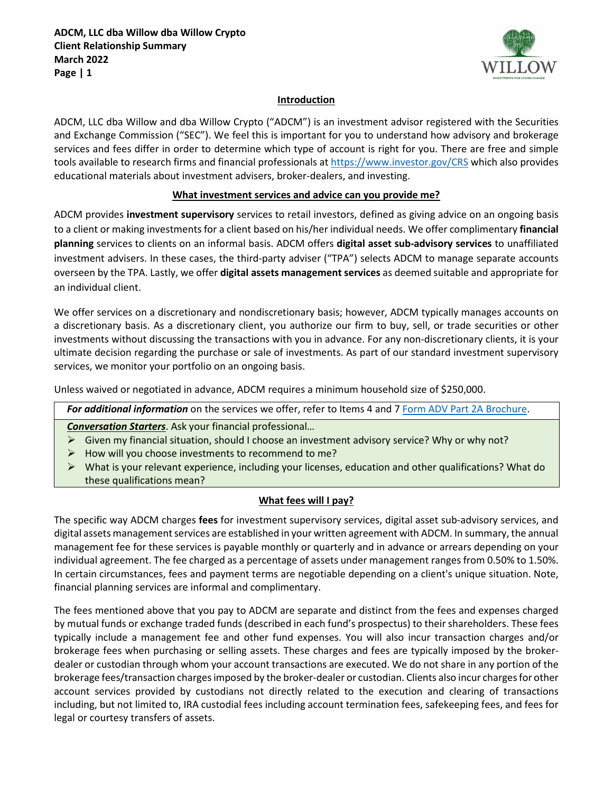

#### **Introduction**

ADCM, LLC dba Willow and dba Willow Crypto ("ADCM") is an investment advisor registered with the Securities and Exchange Commission ("SEC"). We feel this is important for you to understand how advisory and brokerage services and fees differ in order to determine which type of account is right for you. There are free and simple tools available to research firms and financial professionals a[t https://www.investor.gov/CRS](https://www.investor.gov/CRS) which also provides educational materials about investment advisers, broker-dealers, and investing.

#### **What investment services and advice can you provide me?**

ADCM provides **investment supervisory** services to retail investors, defined as giving advice on an ongoing basis to a client or making investments for a client based on his/her individual needs. We offer complimentary **financial planning** services to clients on an informal basis. ADCM offers **digital asset sub-advisory services** to unaffiliated investment advisers. In these cases, the third-party adviser ("TPA") selects ADCM to manage separate accounts overseen by the TPA. Lastly, we offer **digital assets management services** as deemed suitable and appropriate for an individual client.

We offer services on a discretionary and nondiscretionary basis; however, ADCM typically manages accounts on a discretionary basis. As a discretionary client, you authorize our firm to buy, sell, or trade securities or other investments without discussing the transactions with you in advance. For any non-discretionary clients, it is your ultimate decision regarding the purchase or sale of investments. As part of our standard investment supervisory services, we monitor your portfolio on an ongoing basis.

Unless waived or negotiated in advance, ADCM requires a minimum household size of \$250,000.

For additional information on the services we offer, refer to Items 4 and 7 [Form ADV Part 2A Brochure.](https://investwithwillow.com/wp-content/uploads/2022/03/ADCM-LLC-Form-ADV-pt-2A-2022-FINAL.pdf)

#### *Conversation Starters*. Ask your financial professional…

- $\triangleright$  Given my financial situation, should I choose an investment advisory service? Why or why not?
- $\triangleright$  How will you choose investments to recommend to me?
- ▶ What is your relevant experience, including your licenses, education and other qualifications? What do these qualifications mean?

# **What fees will I pay?**

The specific way ADCM charges **fees** for investment supervisory services, digital asset sub-advisory services, and digital assets management services are established in your written agreement with ADCM. In summary, the annual management fee for these services is payable monthly or quarterly and in advance or arrears depending on your individual agreement. The fee charged as a percentage of assets under management ranges from 0.50% to 1.50%. In certain circumstances, fees and payment terms are negotiable depending on a client's unique situation. Note, financial planning services are informal and complimentary.

The fees mentioned above that you pay to ADCM are separate and distinct from the fees and expenses charged by mutual funds or exchange traded funds (described in each fund's prospectus) to their shareholders. These fees typically include a management fee and other fund expenses. You will also incur transaction charges and/or brokerage fees when purchasing or selling assets. These charges and fees are typically imposed by the brokerdealer or custodian through whom your account transactions are executed. We do not share in any portion of the brokerage fees/transaction charges imposed by the broker-dealer or custodian. Clients also incur charges for other account services provided by custodians not directly related to the execution and clearing of transactions including, but not limited to, IRA custodial fees including account termination fees, safekeeping fees, and fees for legal or courtesy transfers of assets.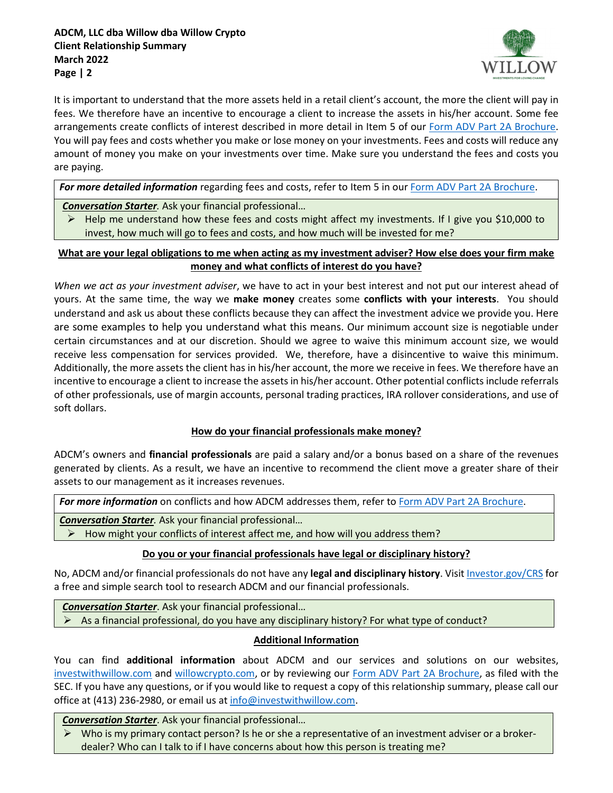

It is important to understand that the more assets held in a retail client's account, the more the client will pay in fees. We therefore have an incentive to encourage a client to increase the assets in his/her account. Some fee arrangements create conflicts of interest described in more detail in Item 5 of our [Form ADV Part 2A Brochure.](https://investwithwillow.com/wp-content/uploads/2022/03/ADCM-LLC-Form-ADV-pt-2A-2022-FINAL.pdf) You will pay fees and costs whether you make or lose money on your investments. Fees and costs will reduce any amount of money you make on your investments over time. Make sure you understand the fees and costs you are paying.

For more detailed information regarding fees and costs, refer to Item 5 in our **Form ADV Part 2A Brochure**.

*Conversation Starter.* Ask your financial professional…

 $\triangleright$  Help me understand how these fees and costs might affect my investments. If I give you \$10,000 to invest, how much will go to fees and costs, and how much will be invested for me?

**What are your legal obligations to me when acting as my investment adviser? How else does your firm make money and what conflicts of interest do you have?**

*When we act as your investment adviser*, we have to act in your best interest and not put our interest ahead of yours. At the same time, the way we **make money** creates some **conflicts with your interests**. You should understand and ask us about these conflicts because they can affect the investment advice we provide you. Here are some examples to help you understand what this means. Our minimum account size is negotiable under certain circumstances and at our discretion. Should we agree to waive this minimum account size, we would receive less compensation for services provided. We, therefore, have a disincentive to waive this minimum. Additionally, the more assets the client has in his/her account, the more we receive in fees. We therefore have an incentive to encourage a client to increase the assets in his/her account. Other potential conflicts include referrals of other professionals, use of margin accounts, personal trading practices, IRA rollover considerations, and use of soft dollars.

# **How do your financial professionals make money?**

ADCM's owners and **financial professionals** are paid a salary and/or a bonus based on a share of the revenues generated by clients. As a result, we have an incentive to recommend the client move a greater share of their assets to our management as it increases revenues.

For more information on conflicts and how ADCM addresses them, refer to [Form ADV Part 2A Brochure.](https://investwithwillow.com/wp-content/uploads/2022/03/ADCM-LLC-Form-ADV-pt-2A-2022-FINAL.pdf)

*Conversation Starter.* Ask your financial professional…

 $\triangleright$  How might your conflicts of interest affect me, and how will you address them?

# **Do you or your financial professionals have legal or disciplinary history?**

No, ADCM and/or financial professionals do not have any **legal and disciplinary history**. Visi[t Investor.gov/CRS](https://www.investor.gov/CRS) for a free and simple search tool to research ADCM and our financial professionals.

*Conversation Starter*. Ask your financial professional…

 $\triangleright$  As a financial professional, do you have any disciplinary history? For what type of conduct?

# **Additional Information**

You can find **additional information** about ADCM and our services and solutions on our websites, [investwithwillow.com](https://investwithwillow.com/) and [willowcrypto.com,](https://willowcrypto.com/) or by reviewing our [Form ADV Part 2A Brochure,](https://investwithwillow.com/wp-content/uploads/2022/03/ADCM-LLC-Form-ADV-pt-2A-2022-FINAL.pdf) as filed with the SEC. If you have any questions, or if you would like to request a copy of this relationship summary, please call our office at (413) 236-2980, or email us at [info@investwithwillow.com.](mailto:info@investwithwillow.com)

*Conversation Starter*. Ask your financial professional…

 $\triangleright$  Who is my primary contact person? Is he or she a representative of an investment adviser or a brokerdealer? Who can I talk to if I have concerns about how this person is treating me?